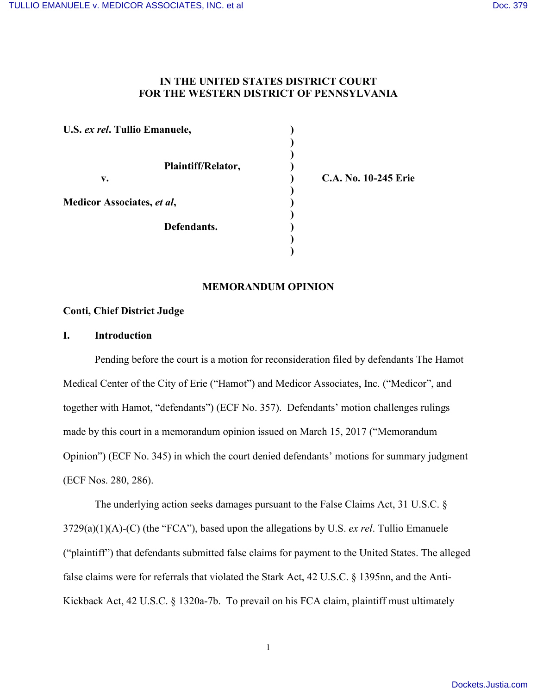# **IN THE UNITED STATES DISTRICT COURT FOR THE WESTERN DISTRICT OF PENNSYLVANIA**

**) )**

**)**

**)**

**) )**

**U.S.** *ex rel***. Tullio Emanuele, ) Plaintiff/Relator, ) v. ) C.A. No. 10-245 Erie Medicor Associates,** *et al***, ) Defendants. )**

## **MEMORANDUM OPINION**

### **Conti, Chief District Judge**

#### **I. Introduction**

Pending before the court is a motion for reconsideration filed by defendants The Hamot Medical Center of the City of Erie ("Hamot") and Medicor Associates, Inc. ("Medicor", and together with Hamot, "defendants") (ECF No. 357). Defendants' motion challenges rulings made by this court in a memorandum opinion issued on March 15, 2017 ("Memorandum Opinion") (ECF No. 345) in which the court denied defendants' motions for summary judgment (ECF Nos. 280, 286).

The underlying action seeks damages pursuant to the False Claims Act, 31 U.S.C. § 3729(a)(1)(A)-(C) (the "FCA"), based upon the allegations by U.S. *ex rel*. Tullio Emanuele ("plaintiff") that defendants submitted false claims for payment to the United States. The alleged false claims were for referrals that violated the Stark Act, 42 U.S.C. § 1395nn, and the Anti-Kickback Act, 42 U.S.C. § 1320a-7b. To prevail on his FCA claim, plaintiff must ultimately

1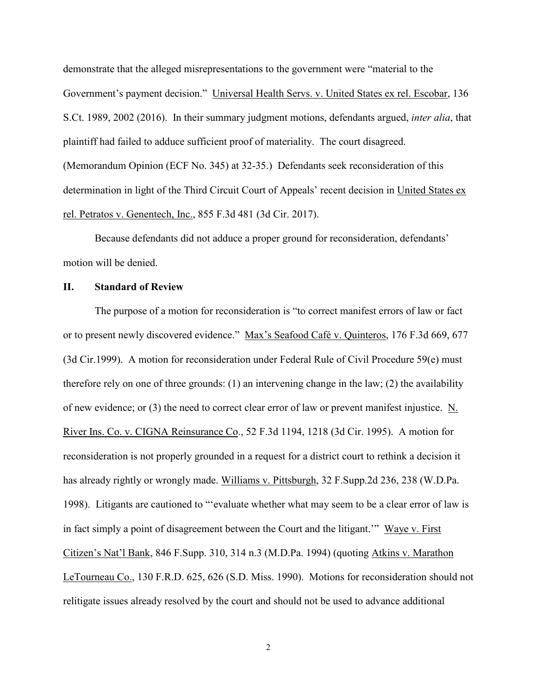demonstrate that the alleged misrepresentations to the government were "material to the Government's payment decision." Universal Health Servs. v. United States ex rel. Escobar, 136 S.Ct. 1989, 2002 (2016). In their summary judgment motions, defendants argued, *inter alia*, that plaintiff had failed to adduce sufficient proof of materiality. The court disagreed. (Memorandum Opinion (ECF No. 345) at 32-35.) Defendants seek reconsideration of this determination in light of the Third Circuit Court of Appeals' recent decision in United States ex rel. Petratos v. Genentech, Inc., 855 F.3d 481 (3d Cir. 2017).

Because defendants did not adduce a proper ground for reconsideration, defendants' motion will be denied.

### **II. Standard of Review**

The purpose of a motion for reconsideration is "to correct manifest errors of law or fact or to present newly discovered evidence." Max's Seafood Café v. Quinteros, 176 F.3d 669, 677 (3d Cir.1999). A motion for reconsideration under Federal Rule of Civil Procedure 59(e) must therefore rely on one of three grounds: (1) an intervening change in the law; (2) the availability of new evidence; or (3) the need to correct clear error of law or prevent manifest injustice. N. River Ins. Co. v. CIGNA Reinsurance Co., 52 F.3d 1194, 1218 (3d Cir. 1995). A motion for reconsideration is not properly grounded in a request for a district court to rethink a decision it has already rightly or wrongly made. Williams v. Pittsburgh, 32 F.Supp.2d 236, 238 (W.D.Pa. 1998). Litigants are cautioned to "ʻevaluate whether what may seem to be a clear error of law is in fact simply a point of disagreement between the Court and the litigant.'" Waye v. First Citizen's Nat'l Bank, 846 F.Supp. 310, 314 n.3 (M.D.Pa. 1994) (quoting Atkins v. Marathon LeTourneau Co., 130 F.R.D. 625, 626 (S.D. Miss. 1990). Motions for reconsideration should not relitigate issues already resolved by the court and should not be used to advance additional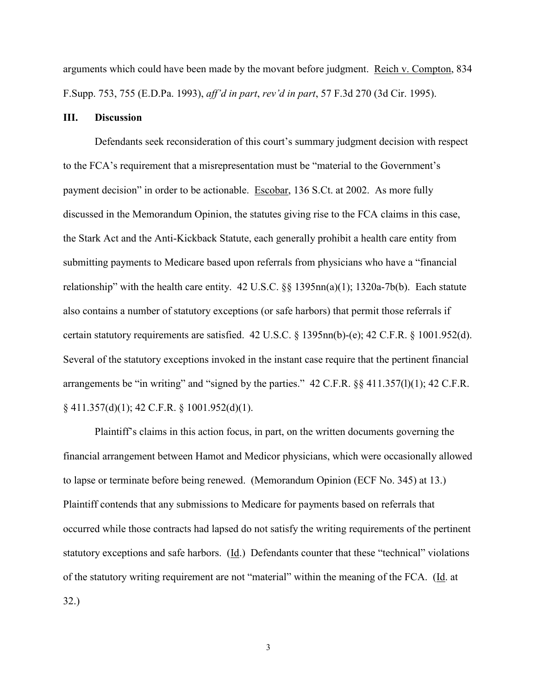arguments which could have been made by the movant before judgment. Reich v. Compton, 834 F.Supp. 753, 755 (E.D.Pa. 1993), *aff'd in part*, *rev'd in part*, 57 F.3d 270 (3d Cir. 1995).

#### **III. Discussion**

Defendants seek reconsideration of this court's summary judgment decision with respect to the FCA's requirement that a misrepresentation must be "material to the Government's payment decision" in order to be actionable. Escobar, 136 S.Ct. at 2002. As more fully discussed in the Memorandum Opinion, the statutes giving rise to the FCA claims in this case, the Stark Act and the Anti-Kickback Statute, each generally prohibit a health care entity from submitting payments to Medicare based upon referrals from physicians who have a "financial relationship" with the health care entity. 42 U.S.C. §§ 1395nn(a)(1); 1320a-7b(b). Each statute also contains a number of statutory exceptions (or safe harbors) that permit those referrals if certain statutory requirements are satisfied. 42 U.S.C. § 1395nn(b)-(e); 42 C.F.R. § 1001.952(d). Several of the statutory exceptions invoked in the instant case require that the pertinent financial arrangements be "in writing" and "signed by the parties." 42 C.F.R. §§ 411.357(l)(1); 42 C.F.R. § 411.357(d)(1); 42 C.F.R. § 1001.952(d)(1).

Plaintiff's claims in this action focus, in part, on the written documents governing the financial arrangement between Hamot and Medicor physicians, which were occasionally allowed to lapse or terminate before being renewed. (Memorandum Opinion (ECF No. 345) at 13.) Plaintiff contends that any submissions to Medicare for payments based on referrals that occurred while those contracts had lapsed do not satisfy the writing requirements of the pertinent statutory exceptions and safe harbors. (Id.) Defendants counter that these "technical" violations of the statutory writing requirement are not "material" within the meaning of the FCA. (Id. at 32.)

3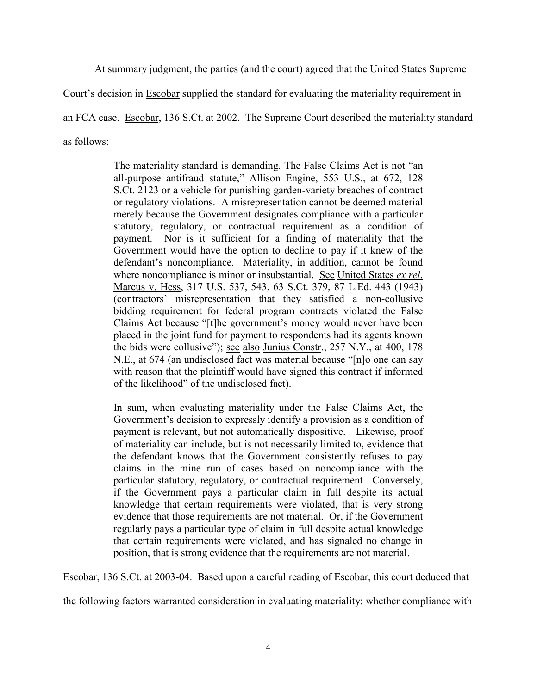At summary judgment, the parties (and the court) agreed that the United States Supreme

Court's decision in Escobar supplied the standard for evaluating the materiality requirement in

an FCA case. Escobar, 136 S.Ct. at 2002. The Supreme Court described the materiality standard

as follows:

The materiality standard is demanding. The False Claims Act is not "an all-purpose antifraud statute," Allison Engine, 553 U.S., at 672, 128 S.Ct. 2123 or a vehicle for punishing garden-variety breaches of contract or regulatory violations. A misrepresentation cannot be deemed material merely because the Government designates compliance with a particular statutory, regulatory, or contractual requirement as a condition of payment. Nor is it sufficient for a finding of materiality that the Government would have the option to decline to pay if it knew of the defendant's noncompliance. Materiality, in addition, cannot be found where noncompliance is minor or insubstantial. See United States *ex rel*. Marcus v. Hess, 317 U.S. 537, 543, 63 S.Ct. 379, 87 L.Ed. 443 (1943) (contractors' misrepresentation that they satisfied a non-collusive bidding requirement for federal program contracts violated the False Claims Act because "[t]he government's money would never have been placed in the joint fund for payment to respondents had its agents known the bids were collusive"); see also Junius Constr., 257 N.Y., at 400, 178 N.E., at 674 (an undisclosed fact was material because "[n]o one can say with reason that the plaintiff would have signed this contract if informed of the likelihood" of the undisclosed fact).

In sum, when evaluating materiality under the False Claims Act, the Government's decision to expressly identify a provision as a condition of payment is relevant, but not automatically dispositive. Likewise, proof of materiality can include, but is not necessarily limited to, evidence that the defendant knows that the Government consistently refuses to pay claims in the mine run of cases based on noncompliance with the particular statutory, regulatory, or contractual requirement. Conversely, if the Government pays a particular claim in full despite its actual knowledge that certain requirements were violated, that is very strong evidence that those requirements are not material. Or, if the Government regularly pays a particular type of claim in full despite actual knowledge that certain requirements were violated, and has signaled no change in position, that is strong evidence that the requirements are not material.

Escobar, 136 S.Ct. at 2003-04. Based upon a careful reading of Escobar, this court deduced that

the following factors warranted consideration in evaluating materiality: whether compliance with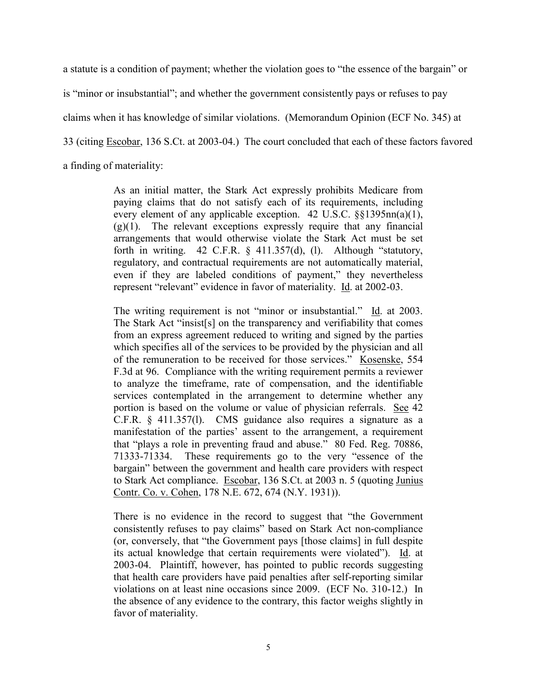a statute is a condition of payment; whether the violation goes to "the essence of the bargain" or

is "minor or insubstantial"; and whether the government consistently pays or refuses to pay

claims when it has knowledge of similar violations. (Memorandum Opinion (ECF No. 345) at

33 (citing Escobar, 136 S.Ct. at 2003-04.) The court concluded that each of these factors favored

a finding of materiality:

As an initial matter, the Stark Act expressly prohibits Medicare from paying claims that do not satisfy each of its requirements, including every element of any applicable exception. 42 U.S.C. §§1395nn(a)(1),  $(g)(1)$ . The relevant exceptions expressly require that any financial arrangements that would otherwise violate the Stark Act must be set forth in writing.  $42$  C.F.R. §  $411.357(d)$ , (1). Although "statutory, regulatory, and contractual requirements are not automatically material, even if they are labeled conditions of payment," they nevertheless represent "relevant" evidence in favor of materiality. Id. at 2002-03.

The writing requirement is not "minor or insubstantial." Id. at 2003. The Stark Act "insist[s] on the transparency and verifiability that comes from an express agreement reduced to writing and signed by the parties which specifies all of the services to be provided by the physician and all of the remuneration to be received for those services." Kosenske, 554 F.3d at 96. Compliance with the writing requirement permits a reviewer to analyze the timeframe, rate of compensation, and the identifiable services contemplated in the arrangement to determine whether any portion is based on the volume or value of physician referrals. See 42 C.F.R. § 411.357(l). CMS guidance also requires a signature as a manifestation of the parties' assent to the arrangement, a requirement that "plays a role in preventing fraud and abuse." 80 Fed. Reg. 70886, 71333-71334. These requirements go to the very "essence of the bargain" between the government and health care providers with respect to Stark Act compliance. Escobar, 136 S.Ct. at 2003 n. 5 (quoting Junius Contr. Co. v. Cohen, 178 N.E. 672, 674 (N.Y. 1931)).

There is no evidence in the record to suggest that "the Government consistently refuses to pay claims" based on Stark Act non-compliance (or, conversely, that "the Government pays [those claims] in full despite its actual knowledge that certain requirements were violated"). Id. at 2003-04. Plaintiff, however, has pointed to public records suggesting that health care providers have paid penalties after self-reporting similar violations on at least nine occasions since 2009. (ECF No. 310-12.) In the absence of any evidence to the contrary, this factor weighs slightly in favor of materiality.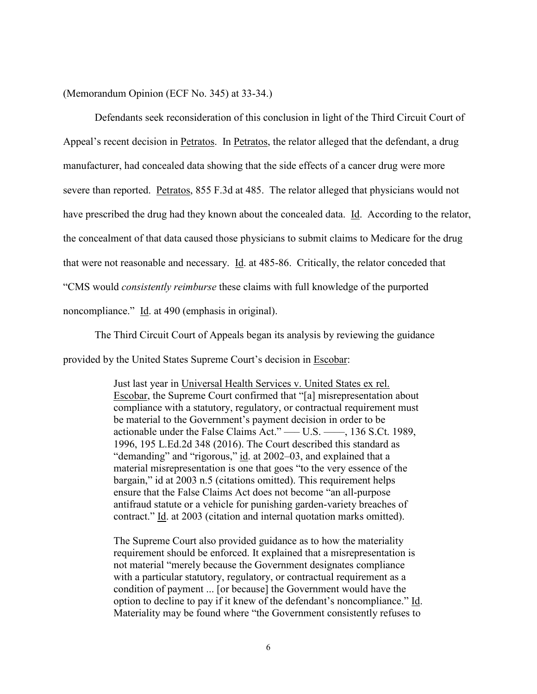(Memorandum Opinion (ECF No. 345) at 33-34.)

Defendants seek reconsideration of this conclusion in light of the Third Circuit Court of Appeal's recent decision in Petratos. In Petratos, the relator alleged that the defendant, a drug manufacturer, had concealed data showing that the side effects of a cancer drug were more severe than reported. Petratos, 855 F.3d at 485. The relator alleged that physicians would not have prescribed the drug had they known about the concealed data. Id. According to the relator, the concealment of that data caused those physicians to submit claims to Medicare for the drug that were not reasonable and necessary. Id. at 485-86. Critically, the relator conceded that "CMS would *consistently reimburse* these claims with full knowledge of the purported noncompliance." Id. at 490 (emphasis in original).

The Third Circuit Court of Appeals began its analysis by reviewing the guidance provided by the United States Supreme Court's decision in Escobar:

> Just last year in Universal Health Services v. United States ex rel. Escobar, the Supreme Court confirmed that "[a] misrepresentation about compliance with a statutory, regulatory, or contractual requirement must be material to the Government's payment decision in order to be actionable under the False Claims Act." — U.S. — 136 S.Ct. 1989, 1996, 195 L.Ed.2d 348 (2016). The Court described this standard as "demanding" and "rigorous," id. at 2002–03, and explained that a material misrepresentation is one that goes "to the very essence of the bargain," id at 2003 n.5 (citations omitted). This requirement helps ensure that the False Claims Act does not become "an all-purpose antifraud statute or a vehicle for punishing garden-variety breaches of contract." Id. at 2003 (citation and internal quotation marks omitted).

> The Supreme Court also provided guidance as to how the materiality requirement should be enforced. It explained that a misrepresentation is not material "merely because the Government designates compliance with a particular statutory, regulatory, or contractual requirement as a condition of payment ... [or because] the Government would have the option to decline to pay if it knew of the defendant's noncompliance." Id. Materiality may be found where "the Government consistently refuses to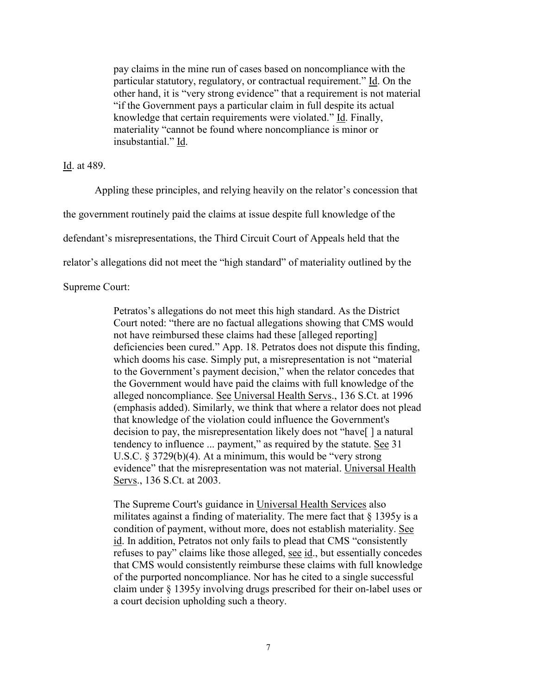pay claims in the mine run of cases based on noncompliance with the particular statutory, regulatory, or contractual requirement." Id. On the other hand, it is "very strong evidence" that a requirement is not material "if the Government pays a particular claim in full despite its actual knowledge that certain requirements were violated." Id. Finally, materiality "cannot be found where noncompliance is minor or insubstantial." Id.

Id. at 489.

Appling these principles, and relying heavily on the relator's concession that the government routinely paid the claims at issue despite full knowledge of the defendant's misrepresentations, the Third Circuit Court of Appeals held that the relator's allegations did not meet the "high standard" of materiality outlined by the

Supreme Court:

Petratos's allegations do not meet this high standard. As the District Court noted: "there are no factual allegations showing that CMS would not have reimbursed these claims had these [alleged reporting] deficiencies been cured." App. 18. Petratos does not dispute this finding, which dooms his case. Simply put, a misrepresentation is not "material to the Government's payment decision," when the relator concedes that the Government would have paid the claims with full knowledge of the alleged noncompliance. See Universal Health Servs., 136 S.Ct. at 1996 (emphasis added). Similarly, we think that where a relator does not plead that knowledge of the violation could influence the Government's decision to pay, the misrepresentation likely does not "have[ ] a natural tendency to influence ... payment," as required by the statute. See 31 U.S.C. § 3729(b)(4). At a minimum, this would be "very strong evidence" that the misrepresentation was not material. Universal Health Servs., 136 S.Ct. at 2003.

The Supreme Court's guidance in Universal Health Services also militates against a finding of materiality. The mere fact that § 1395y is a condition of payment, without more, does not establish materiality. See id. In addition, Petratos not only fails to plead that CMS "consistently refuses to pay" claims like those alleged, see id., but essentially concedes that CMS would consistently reimburse these claims with full knowledge of the purported noncompliance. Nor has he cited to a single successful claim under § 1395y involving drugs prescribed for their on-label uses or a court decision upholding such a theory.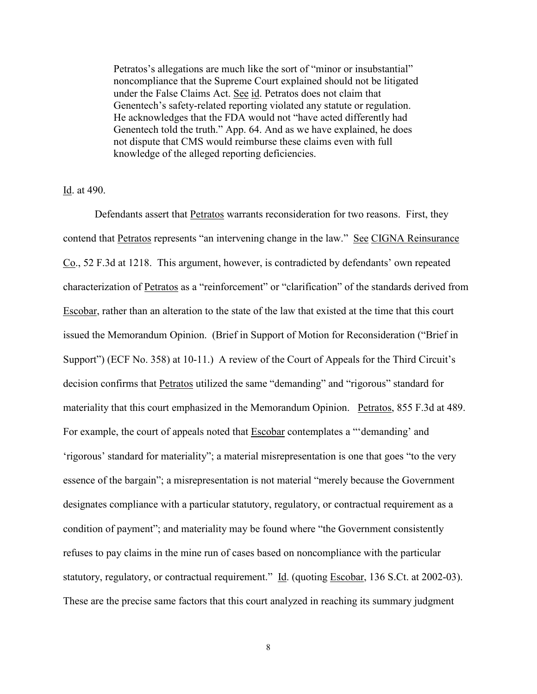Petratos's allegations are much like the sort of "minor or insubstantial" noncompliance that the Supreme Court explained should not be litigated under the False Claims Act. See id. Petratos does not claim that Genentech's safety-related reporting violated any statute or regulation. He acknowledges that the FDA would not "have acted differently had Genentech told the truth." App. 64. And as we have explained, he does not dispute that CMS would reimburse these claims even with full knowledge of the alleged reporting deficiencies.

Id. at 490.

Defendants assert that Petratos warrants reconsideration for two reasons. First, they contend that Petratos represents "an intervening change in the law." See CIGNA Reinsurance Co., 52 F.3d at 1218. This argument, however, is contradicted by defendants' own repeated characterization of Petratos as a "reinforcement" or "clarification" of the standards derived from Escobar, rather than an alteration to the state of the law that existed at the time that this court issued the Memorandum Opinion. (Brief in Support of Motion for Reconsideration ("Brief in Support") (ECF No. 358) at 10-11.) A review of the Court of Appeals for the Third Circuit's decision confirms that Petratos utilized the same "demanding" and "rigorous" standard for materiality that this court emphasized in the Memorandum Opinion. Petratos, 855 F.3d at 489. For example, the court of appeals noted that Escobar contemplates a "'demanding' and 'rigorous' standard for materiality"; a material misrepresentation is one that goes "to the very essence of the bargain"; a misrepresentation is not material "merely because the Government designates compliance with a particular statutory, regulatory, or contractual requirement as a condition of payment"; and materiality may be found where "the Government consistently refuses to pay claims in the mine run of cases based on noncompliance with the particular statutory, regulatory, or contractual requirement." Id. (quoting Escobar, 136 S.Ct. at 2002-03). These are the precise same factors that this court analyzed in reaching its summary judgment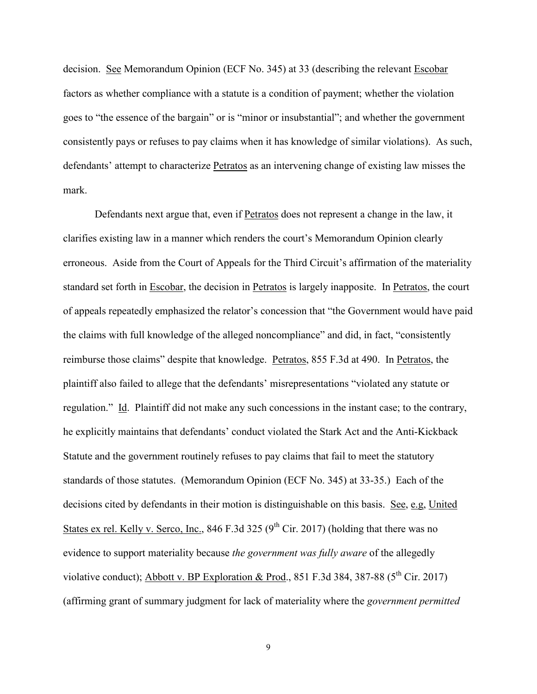decision. See Memorandum Opinion (ECF No. 345) at 33 (describing the relevant Escobar factors as whether compliance with a statute is a condition of payment; whether the violation goes to "the essence of the bargain" or is "minor or insubstantial"; and whether the government consistently pays or refuses to pay claims when it has knowledge of similar violations). As such, defendants' attempt to characterize Petratos as an intervening change of existing law misses the mark.

Defendants next argue that, even if Petratos does not represent a change in the law, it clarifies existing law in a manner which renders the court's Memorandum Opinion clearly erroneous. Aside from the Court of Appeals for the Third Circuit's affirmation of the materiality standard set forth in Escobar, the decision in Petratos is largely inapposite. In Petratos, the court of appeals repeatedly emphasized the relator's concession that "the Government would have paid the claims with full knowledge of the alleged noncompliance" and did, in fact, "consistently reimburse those claims" despite that knowledge. Petratos, 855 F.3d at 490. In Petratos, the plaintiff also failed to allege that the defendants' misrepresentations "violated any statute or regulation." Id. Plaintiff did not make any such concessions in the instant case; to the contrary, he explicitly maintains that defendants' conduct violated the Stark Act and the Anti-Kickback Statute and the government routinely refuses to pay claims that fail to meet the statutory standards of those statutes. (Memorandum Opinion (ECF No. 345) at 33-35.) Each of the decisions cited by defendants in their motion is distinguishable on this basis. See, e.g, United States ex rel. Kelly v. Serco, Inc., 846 F.3d 325 ( $9<sup>th</sup>$  Cir. 2017) (holding that there was no evidence to support materiality because *the government was fully aware* of the allegedly violative conduct); Abbott v. BP Exploration & Prod., 851 F.3d 384, 387-88 ( $5<sup>th</sup>$  Cir. 2017) (affirming grant of summary judgment for lack of materiality where the *government permitted*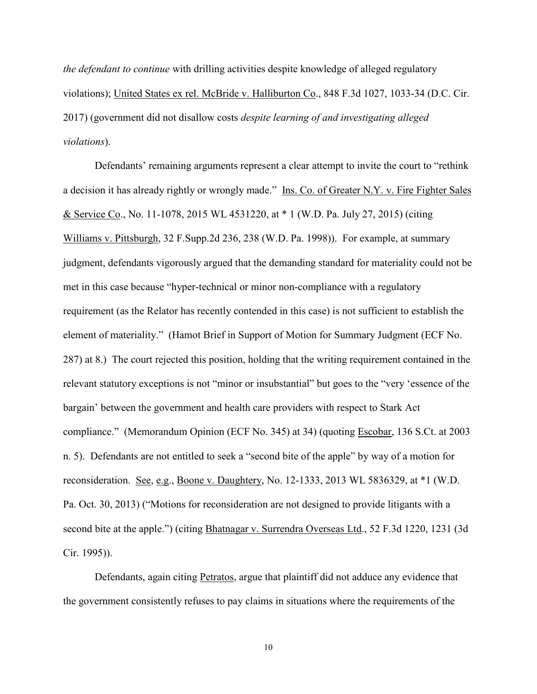*the defendant to continue* with drilling activities despite knowledge of alleged regulatory violations); United States ex rel. McBride v. Halliburton Co., 848 F.3d 1027, 1033-34 (D.C. Cir. 2017) (government did not disallow costs *despite learning of and investigating alleged violations*).

Defendants' remaining arguments represent a clear attempt to invite the court to "rethink a decision it has already rightly or wrongly made." Ins. Co. of Greater N.Y. v. Fire Fighter Sales & Service Co., No. 11-1078, 2015 WL 4531220, at \* 1 (W.D. Pa. July 27, 2015) (citing Williams v. Pittsburgh, 32 F.Supp.2d 236, 238 (W.D. Pa. 1998)). For example, at summary judgment, defendants vigorously argued that the demanding standard for materiality could not be met in this case because "hyper-technical or minor non-compliance with a regulatory requirement (as the Relator has recently contended in this case) is not sufficient to establish the element of materiality." (Hamot Brief in Support of Motion for Summary Judgment (ECF No. 287) at 8.) The court rejected this position, holding that the writing requirement contained in the relevant statutory exceptions is not "minor or insubstantial" but goes to the "very 'essence of the bargain' between the government and health care providers with respect to Stark Act compliance." (Memorandum Opinion (ECF No. 345) at 34) (quoting Escobar, 136 S.Ct. at 2003 n. 5). Defendants are not entitled to seek a "second bite of the apple" by way of a motion for reconsideration. See, e.g., Boone v. Daughtery, No. 12-1333, 2013 WL 5836329, at \*1 (W.D. Pa. Oct. 30, 2013) ("Motions for reconsideration are not designed to provide litigants with a second bite at the apple.") (citing Bhatnagar v. Surrendra Overseas Ltd., 52 F.3d 1220, 1231 (3d Cir. 1995)).

Defendants, again citing Petratos, argue that plaintiff did not adduce any evidence that the government consistently refuses to pay claims in situations where the requirements of the

10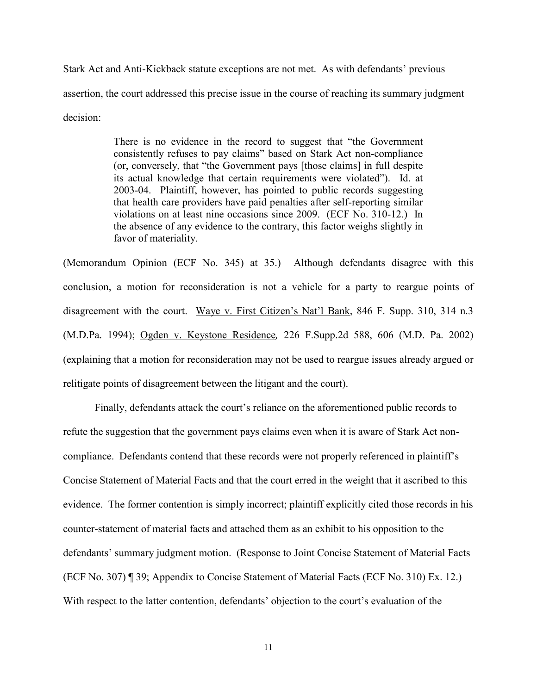Stark Act and Anti-Kickback statute exceptions are not met. As with defendants' previous assertion, the court addressed this precise issue in the course of reaching its summary judgment decision:

> There is no evidence in the record to suggest that "the Government consistently refuses to pay claims" based on Stark Act non-compliance (or, conversely, that "the Government pays [those claims] in full despite its actual knowledge that certain requirements were violated"). Id. at 2003-04. Plaintiff, however, has pointed to public records suggesting that health care providers have paid penalties after self-reporting similar violations on at least nine occasions since 2009. (ECF No. 310-12.) In the absence of any evidence to the contrary, this factor weighs slightly in favor of materiality.

(Memorandum Opinion (ECF No. 345) at 35.) Although defendants disagree with this conclusion, a motion for reconsideration is not a vehicle for a party to reargue points of disagreement with the court. Waye v. First Citizen's Nat'l Bank, 846 F. Supp. 310, 314 n.3 (M.D.Pa. 1994); Ogden v. Keystone Residence*,* 226 F.Supp.2d 588, 606 (M.D. Pa. 2002) (explaining that a motion for reconsideration may not be used to reargue issues already argued or relitigate points of disagreement between the litigant and the court).

Finally, defendants attack the court's reliance on the aforementioned public records to refute the suggestion that the government pays claims even when it is aware of Stark Act noncompliance. Defendants contend that these records were not properly referenced in plaintiff's Concise Statement of Material Facts and that the court erred in the weight that it ascribed to this evidence. The former contention is simply incorrect; plaintiff explicitly cited those records in his counter-statement of material facts and attached them as an exhibit to his opposition to the defendants' summary judgment motion. (Response to Joint Concise Statement of Material Facts (ECF No. 307) ¶ 39; Appendix to Concise Statement of Material Facts (ECF No. 310) Ex. 12.) With respect to the latter contention, defendants' objection to the court's evaluation of the